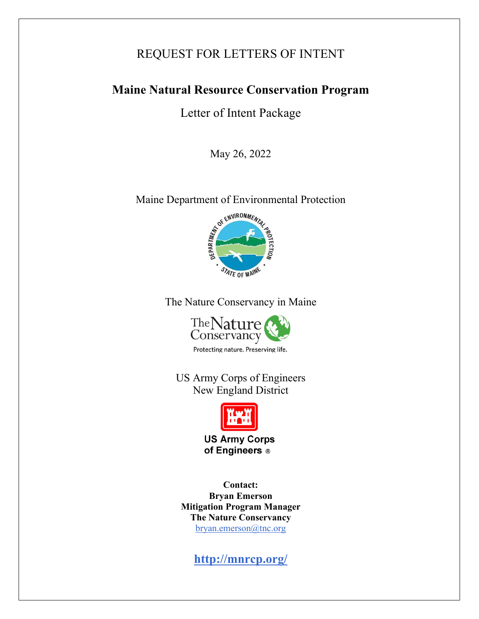# REQUEST FOR LETTERS OF INTENT

# **Maine Natural Resource Conservation Program**

Letter of Intent Package

May 26, 2022

Maine Department of Environmental Protection



The Nature Conservancy in Maine



Protecting nature. Preserving life.

US Army Corps of Engineers New England District



**US Army Corps** of Engineers ®

**Contact: Bryan Emerson Mitigation Program Manager The Nature Conservancy** [bryan.emerson@tnc.org](mailto:bryan.emerson@tnc.org)

**<http://mnrcp.org/>**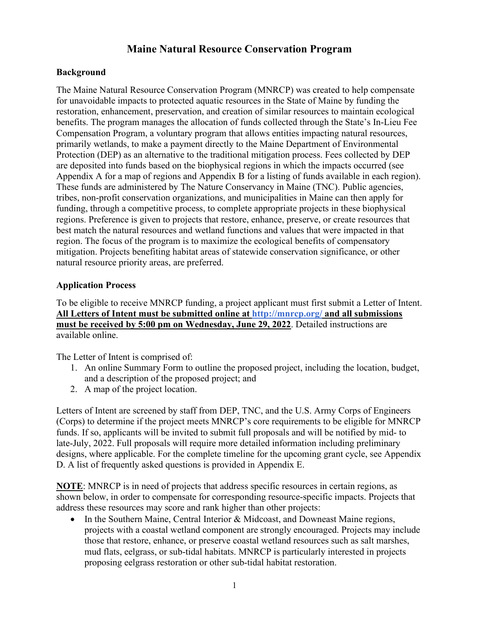# **Maine Natural Resource Conservation Program**

#### **Background**

The Maine Natural Resource Conservation Program (MNRCP) was created to help compensate for unavoidable impacts to protected aquatic resources in the State of Maine by funding the restoration, enhancement, preservation, and creation of similar resources to maintain ecological benefits. The program manages the allocation of funds collected through the State's [In-Lieu Fee](http://www.maine.gov/dep/blwq/docstand/nrpa/ILF_and_NRCP/ILF/index.htm)  [Compensation Program, a](http://www.maine.gov/dep/blwq/docstand/nrpa/ILF_and_NRCP/ILF/index.htm) voluntary program that allows entities impacting natural resources, primarily wetlands, to make a payment directly to the Maine Department of Environmental Protection (DEP) as an alternative to the traditional mitigation process. Fees collected by DEP are deposited into funds based on the biophysical regions in which the impacts occurred (see Appendix A for a map of regions and Appendix B for a listing of funds available in each region). These funds are administered by The Nature Conservancy in Maine (TNC). Public agencies, tribes, non-profit conservation organizations, and municipalities in Maine can then apply for funding, through a competitive process, to complete appropriate projects in these biophysical regions. Preference is given to projects that restore, enhance, preserve, or create resources that best match the natural resources and wetland functions and values that were impacted in that region. The focus of the program is to maximize the ecological benefits of compensatory mitigation. Projects benefiting habitat areas of statewide conservation significance, or other natural resource priority areas, are preferred.

#### **Application Process**

To be eligible to receive MNRCP funding, a project applicant must first submit a Letter of Intent. **All Letters of Intent must be submitted online at<http://mnrcp.org/>and all submissions must be received by 5:00 pm on Wednesday, June 29, 2022**. Detailed instructions are available online.

The Letter of Intent is comprised of:

- 1. An online Summary Form to outline the proposed project, including the location, budget, and a description of the proposed project; and
- 2. A map of the project location.

Letters of Intent are screened by staff from DEP, TNC, and the U.S. Army Corps of Engineers (Corps) to determine if the project meets MNRCP's core requirements to be eligible for MNRCP funds. If so, applicants will be invited to submit full proposals and will be notified by mid- to late-July, 2022. Full proposals will require more detailed information including preliminary designs, where applicable. For the complete timeline for the upcoming grant cycle, see Appendix D. A list of frequently asked questions is provided in Appendix E.

**NOTE**: MNRCP is in need of projects that address specific resources in certain regions, as shown below, in order to compensate for corresponding resource-specific impacts. Projects that address these resources may score and rank higher than other projects:

In the Southern Maine, Central Interior & Midcoast, and Downeast Maine regions, projects with a coastal wetland component are strongly encouraged. Projects may include those that restore, enhance, or preserve coastal wetland resources such as salt marshes, mud flats, eelgrass, or sub-tidal habitats. MNRCP is particularly interested in projects proposing eelgrass restoration or other sub-tidal habitat restoration.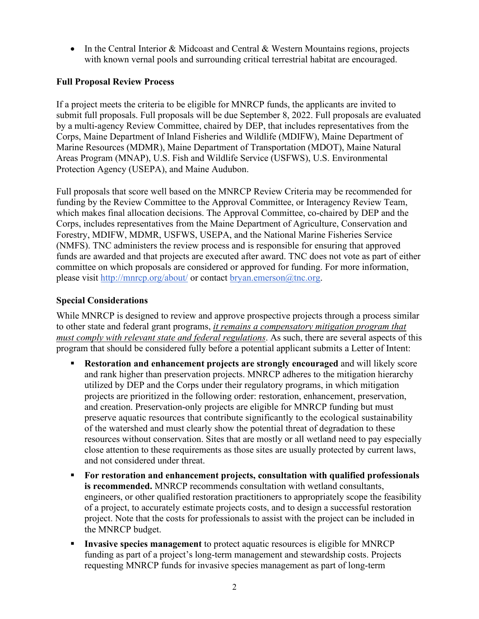• In the Central Interior & Midcoast and Central & Western Mountains regions, projects with known vernal pools and surrounding critical terrestrial habitat are encouraged.

#### **Full Proposal Review Process**

If a project meets the criteria to be eligible for MNRCP funds, the applicants are invited to submit full proposals. Full proposals will be due September 8, 2022. Full proposals are evaluated by a multi-agency Review Committee, chaired by DEP, that includes representatives from the Corps, Maine Department of Inland Fisheries and Wildlife (MDIFW), Maine Department of Marine Resources (MDMR), Maine Department of Transportation (MDOT), Maine Natural Areas Program (MNAP), U.S. Fish and Wildlife Service (USFWS), U.S. Environmental Protection Agency (USEPA), and Maine Audubon.

Full proposals that score well based on the MNRCP Review Criteria may be recommended for funding by the Review Committee to the Approval Committee, or Interagency Review Team, which makes final allocation decisions. The Approval Committee, co-chaired by DEP and the Corps, includes representatives from the Maine Department of Agriculture, Conservation and Forestry, MDIFW, MDMR, USFWS, USEPA, and the National Marine Fisheries Service (NMFS). TNC administers the review process and is responsible for ensuring that approved funds are awarded and that projects are executed after award. TNC does not vote as part of either committee on which proposals are considered or approved for funding. For more information, please visit<http://mnrcp.org/about/> or contact [bryan.emerson@tnc.org.](mailto:maineresources@tnc.org)

## **Special Considerations**

While MNRCP is designed to review and approve prospective projects through a process similar to other state and federal grant programs, *it remains a compensatory mitigation program that must comply with relevant state and federal regulations*. As such, there are several aspects of this program that should be considered fully before a potential applicant submits a Letter of Intent:

- **Restoration and enhancement projects are strongly encouraged** and will likely score and rank higher than preservation projects. MNRCP adheres to the mitigation hierarchy utilized by DEP and the Corps under their regulatory programs, in which mitigation projects are prioritized in the following order: restoration, enhancement, preservation, and creation. Preservation-only projects are eligible for MNRCP funding but must preserve aquatic resources that contribute significantly to the ecological sustainability of the watershed and must clearly show the potential threat of degradation to these resources without conservation. Sites that are mostly or all wetland need to pay especially close attention to these requirements as those sites are usually protected by current laws, and not considered under threat.
- **For restoration and enhancement projects, consultation with qualified professionals is recommended.** MNRCP recommends consultation with wetland consultants, engineers, or other qualified restoration practitioners to appropriately scope the feasibility of a project, to accurately estimate projects costs, and to design a successful restoration project. Note that the costs for professionals to assist with the project can be included in the MNRCP budget.
- **Invasive species management** to protect aquatic resources is eligible for MNRCP funding as part of a project's long-term management and stewardship costs. Projects requesting MNRCP funds for invasive species management as part of long-term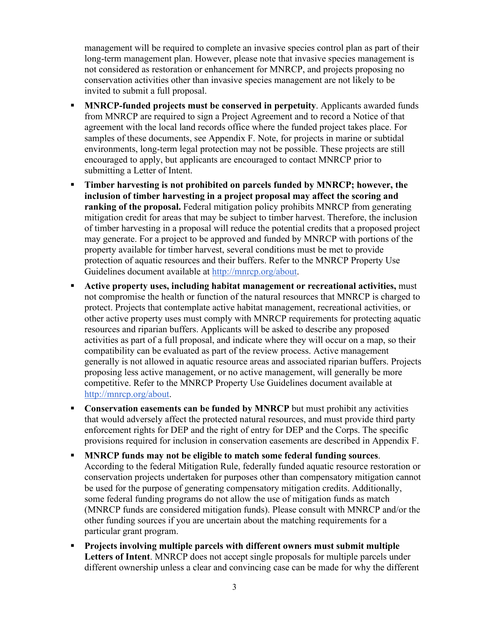management will be required to complete an invasive species control plan as part of their long-term management plan. However, please note that invasive species management is not considered as restoration or enhancement for MNRCP, and projects proposing no conservation activities other than invasive species management are not likely to be invited to submit a full proposal.

- **MNRCP-funded projects must be conserved in perpetuity**. Applicants awarded funds from MNRCP are required to sign a Project Agreement and to record a Notice of that agreement with the local land records office where the funded project takes place. For samples of these documents, see Appendix F. Note, for projects in marine or subtidal environments, long-term legal protection may not be possible. These projects are still encouraged to apply, but applicants are encouraged to contact MNRCP prior to submitting a Letter of Intent.
- **Timber harvesting is not prohibited on parcels funded by MNRCP; however, the inclusion of timber harvesting in a project proposal may affect the scoring and ranking of the proposal.** Federal mitigation policy prohibits MNRCP from generating mitigation credit for areas that may be subject to timber harvest. Therefore, the inclusion of timber harvesting in a proposal will reduce the potential credits that a proposed project may generate. For a project to be approved and funded by MNRCP with portions of the property available for timber harvest, several conditions must be met to provide protection of aquatic resources and their buffers. Refer to the MNRCP Property Use Guidelines document available at [http://mnrcp.org/about.](http://mnrcp.org/about)
- **Active property uses, including habitat management or recreational activities,** must not compromise the health or function of the natural resources that MNRCP is charged to protect. Projects that contemplate active habitat management, recreational activities, or other active property uses must comply with MNRCP requirements for protecting aquatic resources and riparian buffers. Applicants will be asked to describe any proposed activities as part of a full proposal, and indicate where they will occur on a map, so their compatibility can be evaluated as part of the review process. Active management generally is not allowed in aquatic resource areas and associated riparian buffers. Projects proposing less active management, or no active management, will generally be more competitive. Refer to the MNRCP Property Use Guidelines document available at [http://mnrcp.org/about.](http://mnrcp.org/about)
- **Conservation easements can be funded by MNRCP** but must prohibit any activities that would adversely affect the protected natural resources, and must provide third party enforcement rights for DEP and the right of entry for DEP and the Corps. The specific provisions required for inclusion in conservation easements are described in Appendix F.
- **MNRCP funds may not be eligible to match some federal funding sources**. According to the federal Mitigation Rule, federally funded aquatic resource restoration or conservation projects undertaken for purposes other than compensatory mitigation cannot be used for the purpose of generating compensatory mitigation credits. Additionally, some federal funding programs do not allow the use of mitigation funds as match (MNRCP funds are considered mitigation funds). Please consult with MNRCP and/or the other funding sources if you are uncertain about the matching requirements for a particular grant program.
- **Projects involving multiple parcels with different owners must submit multiple Letters of Intent**. MNRCP does not accept single proposals for multiple parcels under different ownership unless a clear and convincing case can be made for why the different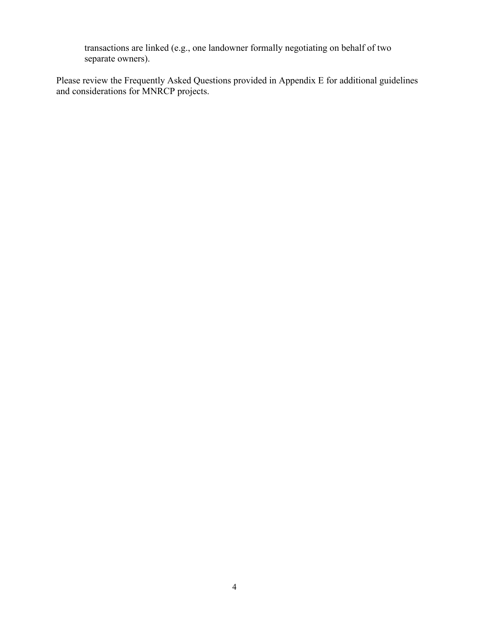transactions are linked (e.g., one landowner formally negotiating on behalf of two separate owners).

Please review the Frequently Asked Questions provided in Appendix E for additional guidelines and considerations for MNRCP projects.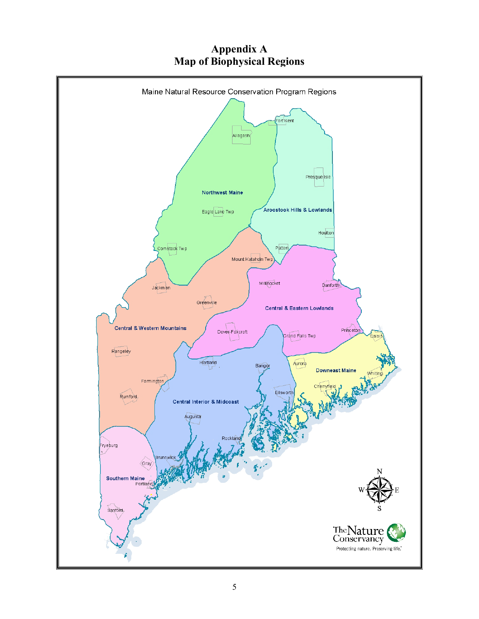# **Appendix A Map of Biophysical Regions**

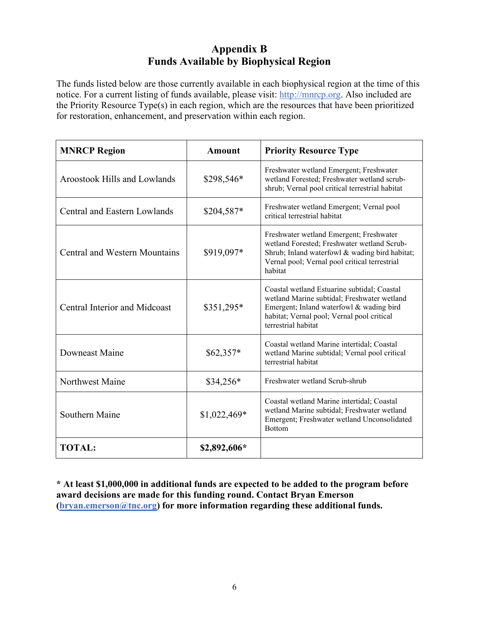# **Appendix B Funds Available by Biophysical Region**

The funds listed below are those currently available in each biophysical region at the time of this notice. For a current listing of funds available, please visit: [http://mnrcp.org.](http://mnrcp.org/) Also included are the Priority Resource Type(s) in each region, which are the resources that have been prioritized for restoration, enhancement, and preservation within each region.

| <b>MNRCP Region</b>                  | Amount        | <b>Priority Resource Type</b>                                                                                                                                                                               |
|--------------------------------------|---------------|-------------------------------------------------------------------------------------------------------------------------------------------------------------------------------------------------------------|
| <b>Aroostook Hills and Lowlands</b>  | \$298,546*    | Freshwater wetland Emergent; Freshwater<br>wetland Forested; Freshwater wetland scrub-<br>shrub; Vernal pool critical terrestrial habitat                                                                   |
| <b>Central and Eastern Lowlands</b>  | \$204,587*    | Freshwater wetland Emergent; Vernal pool<br>critical terrestrial habitat                                                                                                                                    |
| <b>Central and Western Mountains</b> | \$919,097*    | Freshwater wetland Emergent; Freshwater<br>wetland Forested; Freshwater wetland Scrub-<br>Shrub; Inland waterfowl & wading bird habitat;<br>Vernal pool; Vernal pool critical terrestrial<br>habitat        |
| <b>Central Interior and Midcoast</b> | \$351,295*    | Coastal wetland Estuarine subtidal; Coastal<br>wetland Marine subtidal; Freshwater wetland<br>Emergent; Inland waterfowl & wading bird<br>habitat; Vernal pool; Vernal pool critical<br>terrestrial habitat |
| Downeast Maine                       | $$62,357*$    | Coastal wetland Marine intertidal; Coastal<br>wetland Marine subtidal; Vernal pool critical<br>terrestrial habitat                                                                                          |
| Northwest Maine                      | $$34,256*$    | Freshwater wetland Scrub-shrub                                                                                                                                                                              |
| Southern Maine                       | $$1,022,469*$ | Coastal wetland Marine intertidal; Coastal<br>wetland Marine subtidal; Freshwater wetland<br>Emergent; Freshwater wetland Unconsolidated<br><b>Bottom</b>                                                   |
| <b>TOTAL:</b>                        | \$2,892,606*  |                                                                                                                                                                                                             |

**\* At least \$1,000,000 in additional funds are expected to be added to the program before award decisions are made for this funding round. Contact Bryan Emerson [\(bryan.emerson@tnc.org\)](mailto:bryan.emerson@tnc.org) for more information regarding these additional funds.**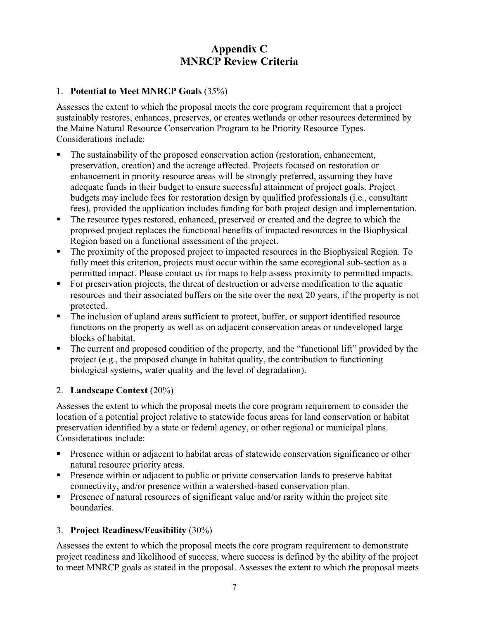# **Appendix C MNRCP Review Criteria**

#### 1. **Potential to Meet MNRCP Goals** (35%)

Assesses the extent to which the proposal meets the core program requirement that a project sustainably restores, enhances, preserves, or creates wetlands or other resources determined by the Maine Natural Resource Conservation Program to be Priority Resource Types. Considerations include:

- The sustainability of the proposed conservation action (restoration, enhancement, preservation, creation) and the acreage affected. Projects focused on restoration or enhancement in priority resource areas will be strongly preferred, assuming they have adequate funds in their budget to ensure successful attainment of project goals. Project budgets may include fees for restoration design by qualified professionals (i.e., consultant fees), provided the application includes funding for both project design and implementation.
- The resource types restored, enhanced, preserved or created and the degree to which the proposed project replaces the functional benefits of impacted resources in the Biophysical Region based on a functional assessment of the project.
- The proximity of the proposed project to impacted resources in the Biophysical Region. To fully meet this criterion, projects must occur within the same ecoregional sub-section as a permitted impact. Please contact us for maps to help assess proximity to permitted impacts.
- For preservation projects, the threat of destruction or adverse modification to the aquatic resources and their associated buffers on the site over the next 20 years, if the property is not protected.
- The inclusion of upland areas sufficient to protect, buffer, or support identified resource functions on the property as well as on adjacent conservation areas or undeveloped large blocks of habitat.
- The current and proposed condition of the property, and the "functional lift" provided by the project (e.g., the proposed change in habitat quality, the contribution to functioning biological systems, water quality and the level of degradation).

## 2. **Landscape Context** (20%)

Assesses the extent to which the proposal meets the core program requirement to consider the location of a potential project relative to statewide focus areas for land conservation or habitat preservation identified by a state or federal agency, or other regional or municipal plans. Considerations include:

- Presence within or adjacent to habitat areas of statewide conservation significance or other natural resource priority areas.
- **Presence within or adjacent to public or private conservation lands to preserve habitat** connectivity, and/or presence within a watershed-based conservation plan.
- **Presence of natural resources of significant value and/or rarity within the project site** boundaries.

## 3. **Project Readiness/Feasibility** (30%)

Assesses the extent to which the proposal meets the core program requirement to demonstrate project readiness and likelihood of success, where success is defined by the ability of the project to meet MNRCP goals as stated in the proposal. Assesses the extent to which the proposal meets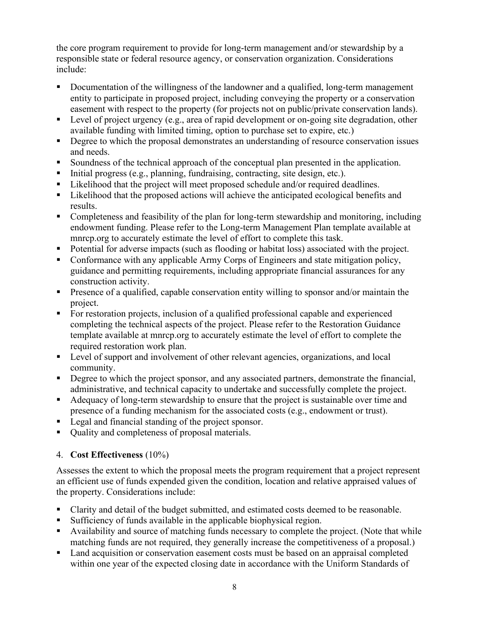the core program requirement to provide for long-term management and/or stewardship by a responsible state or federal resource agency, or conservation organization. Considerations include:

- Documentation of the willingness of the landowner and a qualified, long-term management entity to participate in proposed project, including conveying the property or a conservation easement with respect to the property (for projects not on public/private conservation lands).
- Evel of project urgency (e.g., area of rapid development or on-going site degradation, other available funding with limited timing, option to purchase set to expire, etc.)
- Degree to which the proposal demonstrates an understanding of resource conservation issues and needs.
- Soundness of the technical approach of the conceptual plan presented in the application.
- Initial progress (e.g., planning, fundraising, contracting, site design, etc.).
- Likelihood that the project will meet proposed schedule and/or required deadlines.
- Likelihood that the proposed actions will achieve the anticipated ecological benefits and results.
- Completeness and feasibility of the plan for long-term stewardship and monitoring, including endowment funding. Please refer to the Long-term Management Plan template available at mnrcp.org to accurately estimate the level of effort to complete this task.
- Potential for adverse impacts (such as flooding or habitat loss) associated with the project.
- Conformance with any applicable Army Corps of Engineers and state mitigation policy, guidance and permitting requirements, including appropriate financial assurances for any construction activity.
- **Presence of a qualified, capable conservation entity willing to sponsor and/or maintain the** project.
- For restoration projects, inclusion of a qualified professional capable and experienced completing the technical aspects of the project. Please refer to the Restoration Guidance template available at mnrcp.org to accurately estimate the level of effort to complete the required restoration work plan.
- **Level of support and involvement of other relevant agencies, organizations, and local** community.
- Degree to which the project sponsor, and any associated partners, demonstrate the financial, administrative, and technical capacity to undertake and successfully complete the project.
- Adequacy of long-term stewardship to ensure that the project is sustainable over time and presence of a funding mechanism for the associated costs (e.g., endowment or trust).
- Legal and financial standing of the project sponsor.
- Quality and completeness of proposal materials.

# 4. **Cost Effectiveness** (10%)

Assesses the extent to which the proposal meets the program requirement that a project represent an efficient use of funds expended given the condition, location and relative appraised values of the property. Considerations include:

- Clarity and detail of the budget submitted, and estimated costs deemed to be reasonable.
- Sufficiency of funds available in the applicable biophysical region.
- Availability and source of matching funds necessary to complete the project. (Note that while matching funds are not required, they generally increase the competitiveness of a proposal.)
- Land acquisition or conservation easement costs must be based on an appraisal completed within one year of the expected closing date in accordance with the Uniform Standards of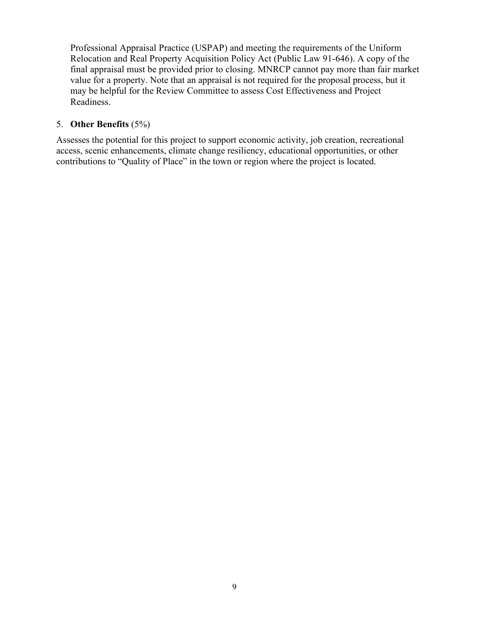Professional Appraisal Practice (USPAP) and meeting the requirements of the Uniform Relocation and Real Property Acquisition Policy Act (Public Law 91-646). A copy of the final appraisal must be provided prior to closing. MNRCP cannot pay more than fair market value for a property. Note that an appraisal is not required for the proposal process, but it may be helpful for the Review Committee to assess Cost Effectiveness and Project Readiness.

#### 5. **Other Benefits** (5%)

Assesses the potential for this project to support economic activity, job creation, recreational access, scenic enhancements, climate change resiliency, educational opportunities, or other contributions to "Quality of Place" in the town or region where the project is located.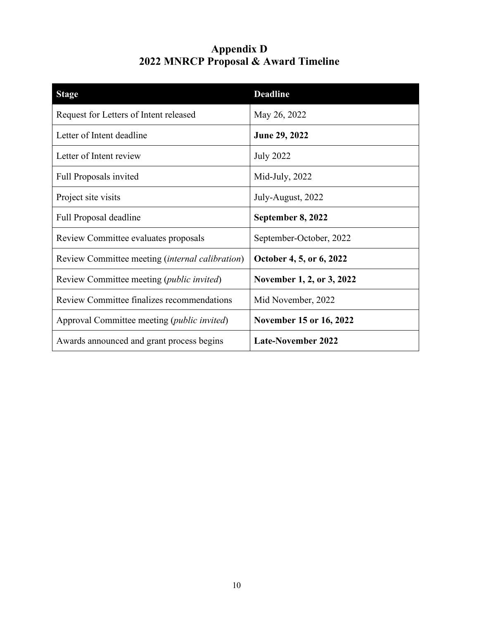# **Appendix D 2022 MNRCP Proposal & Award Timeline**

| <b>Stage</b>                                           | <b>Deadline</b>           |
|--------------------------------------------------------|---------------------------|
| Request for Letters of Intent released                 | May 26, 2022              |
| Letter of Intent deadline                              | <b>June 29, 2022</b>      |
| Letter of Intent review                                | <b>July 2022</b>          |
| <b>Full Proposals invited</b>                          | Mid-July, 2022            |
| Project site visits                                    | July-August, 2022         |
| Full Proposal deadline                                 | September 8, 2022         |
| Review Committee evaluates proposals                   | September-October, 2022   |
| Review Committee meeting <i>(internal calibration)</i> | October 4, 5, or 6, 2022  |
| Review Committee meeting ( <i>public invited</i> )     | November 1, 2, or 3, 2022 |
| Review Committee finalizes recommendations             | Mid November, 2022        |
| Approval Committee meeting ( <i>public invited</i> )   | November 15 or 16, 2022   |
| Awards announced and grant process begins              | <b>Late-November 2022</b> |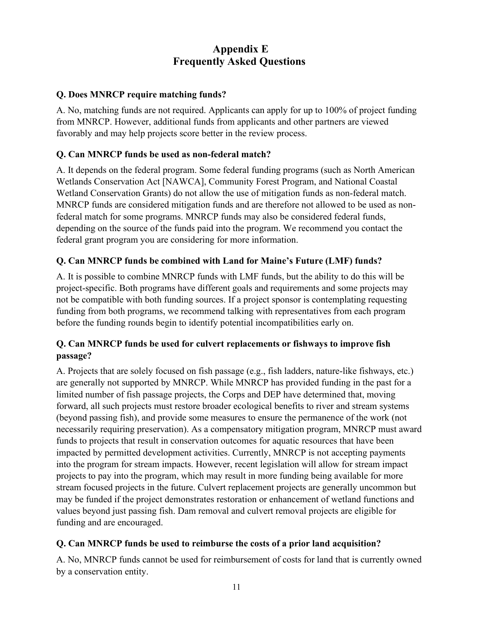# **Appendix E Frequently Asked Questions**

## **Q. Does MNRCP require matching funds?**

A. No, matching funds are not required. Applicants can apply for up to 100% of project funding from MNRCP. However, additional funds from applicants and other partners are viewed favorably and may help projects score better in the review process.

## **Q. Can MNRCP funds be used as non-federal match?**

A. It depends on the federal program. Some federal funding programs (such as North American Wetlands Conservation Act [NAWCA], Community Forest Program, and National Coastal Wetland Conservation Grants) do not allow the use of mitigation funds as non-federal match. MNRCP funds are considered mitigation funds and are therefore not allowed to be used as nonfederal match for some programs. MNRCP funds may also be considered federal funds, depending on the source of the funds paid into the program. We recommend you contact the federal grant program you are considering for more information.

# **Q. Can MNRCP funds be combined with Land for Maine's Future (LMF) funds?**

A. It is possible to combine MNRCP funds with LMF funds, but the ability to do this will be project-specific. Both programs have different goals and requirements and some projects may not be compatible with both funding sources. If a project sponsor is contemplating requesting funding from both programs, we recommend talking with representatives from each program before the funding rounds begin to identify potential incompatibilities early on.

## **Q. Can MNRCP funds be used for culvert replacements or fishways to improve fish passage?**

A. Projects that are solely focused on fish passage (e.g., fish ladders, nature-like fishways, etc.) are generally not supported by MNRCP. While MNRCP has provided funding in the past for a limited number of fish passage projects, the Corps and DEP have determined that, moving forward, all such projects must restore broader ecological benefits to river and stream systems (beyond passing fish), and provide some measures to ensure the permanence of the work (not necessarily requiring preservation). As a compensatory mitigation program, MNRCP must award funds to projects that result in conservation outcomes for aquatic resources that have been impacted by permitted development activities. Currently, MNRCP is not accepting payments into the program for stream impacts. However, recent legislation will allow for stream impact projects to pay into the program, which may result in more funding being available for more stream focused projects in the future. Culvert replacement projects are generally uncommon but may be funded if the project demonstrates restoration or enhancement of wetland functions and values beyond just passing fish. Dam removal and culvert removal projects are eligible for funding and are encouraged.

## **Q. Can MNRCP funds be used to reimburse the costs of a prior land acquisition?**

A. No, MNRCP funds cannot be used for reimbursement of costs for land that is currently owned by a conservation entity.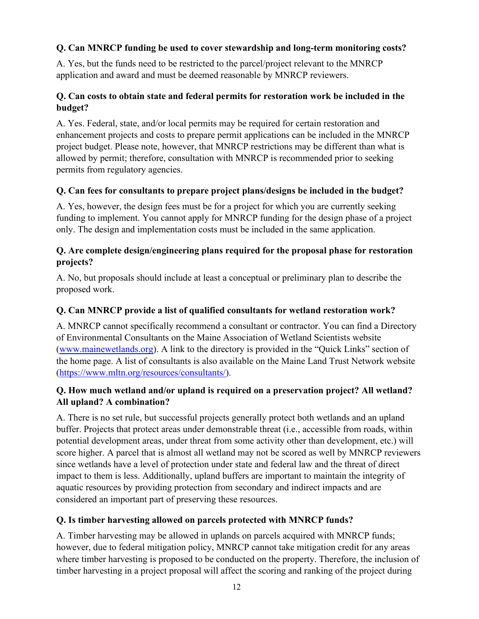## **Q. Can MNRCP funding be used to cover stewardship and long-term monitoring costs?**

A. Yes, but the funds need to be restricted to the parcel/project relevant to the MNRCP application and award and must be deemed reasonable by MNRCP reviewers.

## **Q. Can costs to obtain state and federal permits for restoration work be included in the budget?**

A. Yes. Federal, state, and/or local permits may be required for certain restoration and enhancement projects and costs to prepare permit applications can be included in the MNRCP project budget. Please note, however, that MNRCP restrictions may be different than what is allowed by permit; therefore, consultation with MNRCP is recommended prior to seeking permits from regulatory agencies.

## **Q. Can fees for consultants to prepare project plans/designs be included in the budget?**

A. Yes, however, the design fees must be for a project for which you are currently seeking funding to implement. You cannot apply for MNRCP funding for the design phase of a project only. The design and implementation costs must be included in the same application.

## **Q. Are complete design/engineering plans required for the proposal phase for restoration projects?**

A. No, but proposals should include at least a conceptual or preliminary plan to describe the proposed work.

## **Q. Can MNRCP provide a list of qualified consultants for wetland restoration work?**

A. MNRCP cannot specifically recommend a consultant or contractor. You can find a Directory of Environmental Consultants on the Maine Association of Wetland Scientists website [\(www.mainewetlands.org\)](http://www.mainewetlands.org/). A link to the directory is provided in the "Quick Links" section of the home page. A list of consultants is also available on the Maine Land Trust Network website [\(https://www.mltn.org/resources/consultants/\)](https://www.mltn.org/resources/consultants/).

## **Q. How much wetland and/or upland is required on a preservation project? All wetland? All upland? A combination?**

A. There is no set rule, but successful projects generally protect both wetlands and an upland buffer. Projects that protect areas under demonstrable threat (i.e., accessible from roads, within potential development areas, under threat from some activity other than development, etc.) will score higher. A parcel that is almost all wetland may not be scored as well by MNRCP reviewers since wetlands have a level of protection under state and federal law and the threat of direct impact to them is less. Additionally, upland buffers are important to maintain the integrity of aquatic resources by providing protection from secondary and indirect impacts and are considered an important part of preserving these resources.

## **Q. Is timber harvesting allowed on parcels protected with MNRCP funds?**

A. Timber harvesting may be allowed in uplands on parcels acquired with MNRCP funds; however, due to federal mitigation policy, MNRCP cannot take mitigation credit for any areas where timber harvesting is proposed to be conducted on the property. Therefore, the inclusion of timber harvesting in a project proposal will affect the scoring and ranking of the project during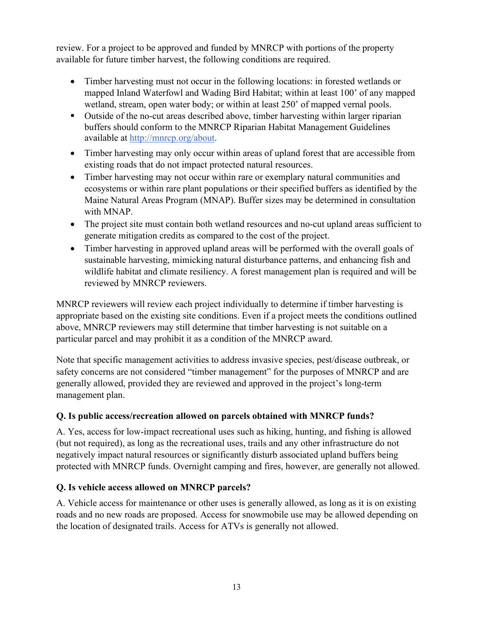review. For a project to be approved and funded by MNRCP with portions of the property available for future timber harvest, the following conditions are required.

- Timber harvesting must not occur in the following locations: in forested wetlands or mapped Inland Waterfowl and Wading Bird Habitat; within at least 100' of any mapped wetland, stream, open water body; or within at least 250' of mapped vernal pools.
- Outside of the no-cut areas described above, timber harvesting within larger riparian buffers should conform to the MNRCP Riparian Habitat Management Guidelines available at [http://mnrcp.org/about.](http://mnrcp.org/about)
- Timber harvesting may only occur within areas of upland forest that are accessible from existing roads that do not impact protected natural resources.
- Timber harvesting may not occur within rare or exemplary natural communities and ecosystems or within rare plant populations or their specified buffers as identified by the Maine Natural Areas Program (MNAP). Buffer sizes may be determined in consultation with MNAP.
- The project site must contain both wetland resources and no-cut upland areas sufficient to generate mitigation credits as compared to the cost of the project.
- Timber harvesting in approved upland areas will be performed with the overall goals of sustainable harvesting, mimicking natural disturbance patterns, and enhancing fish and wildlife habitat and climate resiliency. A forest management plan is required and will be reviewed by MNRCP reviewers.

MNRCP reviewers will review each project individually to determine if timber harvesting is appropriate based on the existing site conditions. Even if a project meets the conditions outlined above, MNRCP reviewers may still determine that timber harvesting is not suitable on a particular parcel and may prohibit it as a condition of the MNRCP award.

Note that specific management activities to address invasive species, pest/disease outbreak, or safety concerns are not considered "timber management" for the purposes of MNRCP and are generally allowed, provided they are reviewed and approved in the project's long-term management plan.

# **Q. Is public access/recreation allowed on parcels obtained with MNRCP funds?**

A. Yes, access for low-impact recreational uses such as hiking, hunting, and fishing is allowed (but not required), as long as the recreational uses, trails and any other infrastructure do not negatively impact natural resources or significantly disturb associated upland buffers being protected with MNRCP funds. Overnight camping and fires, however, are generally not allowed.

## **Q. Is vehicle access allowed on MNRCP parcels?**

A. Vehicle access for maintenance or other uses is generally allowed, as long as it is on existing roads and no new roads are proposed. Access for snowmobile use may be allowed depending on the location of designated trails. Access for ATVs is generally not allowed.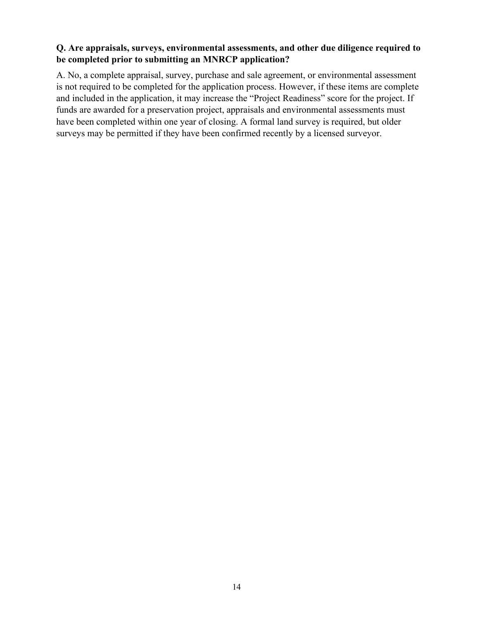#### **Q. Are appraisals, surveys, environmental assessments, and other due diligence required to be completed prior to submitting an MNRCP application?**

A. No, a complete appraisal, survey, purchase and sale agreement, or environmental assessment is not required to be completed for the application process. However, if these items are complete and included in the application, it may increase the "Project Readiness" score for the project. If funds are awarded for a preservation project, appraisals and environmental assessments must have been completed within one year of closing. A formal land survey is required, but older surveys may be permitted if they have been confirmed recently by a licensed surveyor.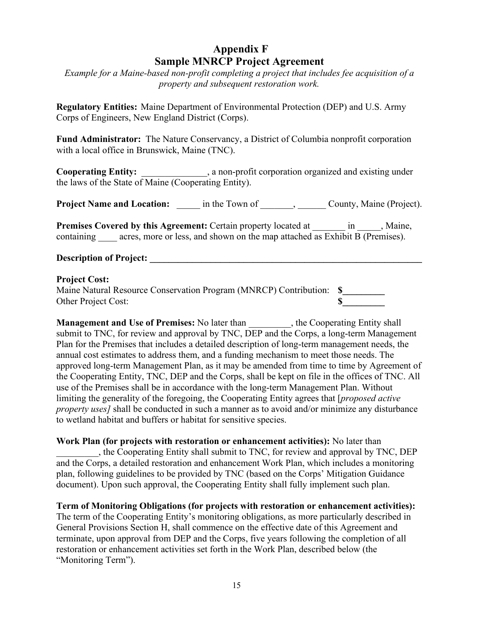# **Appendix F Sample MNRCP Project Agreement**

*Example for a Maine-based non-profit completing a project that includes fee acquisition of a property and subsequent restoration work.*

**Regulatory Entities:** Maine Department of Environmental Protection (DEP) and U.S. Army Corps of Engineers, New England District (Corps).

**Fund Administrator:** The Nature Conservancy, a District of Columbia nonprofit corporation with a local office in Brunswick, Maine (TNC).

**Cooperating Entity:** \_\_\_\_\_\_\_\_\_\_\_\_\_\_, a non-profit corporation organized and existing under the laws of the State of Maine (Cooperating Entity).

**Project Name and Location:**  $\qquad \qquad$  in the Town of  $\qquad \qquad$ ,  $\qquad \qquad$  County, Maine (Project).

Premises Covered by this Agreement: Certain property located at \_\_\_\_\_\_\_ in \_\_\_\_\_, Maine, containing acres, more or less, and shown on the map attached as Exhibit B (Premises).

#### **Description of Project:**  $\blacksquare$

#### **Project Cost:**

Maine Natural Resource Conservation Program (MNRCP) Contribution: **\$\_\_\_\_\_\_\_\_\_** Other Project Cost: **\$** 

**Management and Use of Premises:** No later than \_\_\_\_\_\_\_\_, the Cooperating Entity shall submit to TNC, for review and approval by TNC, DEP and the Corps, a long-term Management Plan for the Premises that includes a detailed description of long-term management needs, the annual cost estimates to address them, and a funding mechanism to meet those needs. The approved long-term Management Plan, as it may be amended from time to time by Agreement of the Cooperating Entity, TNC, DEP and the Corps, shall be kept on file in the offices of TNC. All use of the Premises shall be in accordance with the long-term Management Plan. Without limiting the generality of the foregoing, the Cooperating Entity agrees that [*proposed active property uses]* shall be conducted in such a manner as to avoid and/or minimize any disturbance to wetland habitat and buffers or habitat for sensitive species.

**Work Plan (for projects with restoration or enhancement activities):** No later than \_\_\_\_\_\_\_\_\_, the Cooperating Entity shall submit to TNC, for review and approval by TNC, DEP and the Corps, a detailed restoration and enhancement Work Plan, which includes a monitoring plan, following guidelines to be provided by TNC (based on the Corps' Mitigation Guidance document). Upon such approval, the Cooperating Entity shall fully implement such plan.

**Term of Monitoring Obligations (for projects with restoration or enhancement activities):**  The term of the Cooperating Entity's monitoring obligations, as more particularly described in General Provisions Section H, shall commence on the effective date of this Agreement and terminate, upon approval from DEP and the Corps, five years following the completion of all restoration or enhancement activities set forth in the Work Plan, described below (the "Monitoring Term").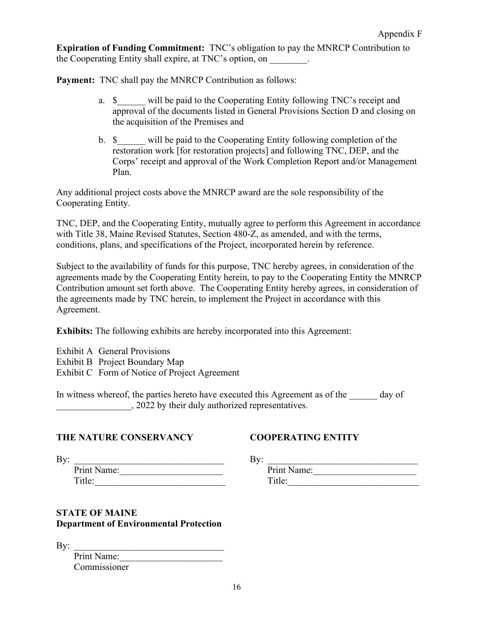**Expiration of Funding Commitment:** TNC's obligation to pay the MNRCP Contribution to the Cooperating Entity shall expire, at TNC's option, on  $\qquad \qquad$ .

**Payment:** TNC shall pay the MNRCP Contribution as follows:

- a.  $\delta$  will be paid to the Cooperating Entity following TNC's receipt and approval of the documents listed in General Provisions Section D and closing on the acquisition of the Premises and
- b.  $\$  will be paid to the Cooperating Entity following completion of the restoration work [for restoration projects] and following TNC, DEP, and the Corps' receipt and approval of the Work Completion Report and/or Management Plan.

Any additional project costs above the MNRCP award are the sole responsibility of the Cooperating Entity.

TNC, DEP, and the Cooperating Entity, mutually agree to perform this Agreement in accordance with Title 38, Maine Revised Statutes, Section 480-Z, as amended, and with the terms, conditions, plans, and specifications of the Project, incorporated herein by reference.

Subject to the availability of funds for this purpose, TNC hereby agrees, in consideration of the agreements made by the Cooperating Entity herein, to pay to the Cooperating Entity the MNRCP Contribution amount set forth above. The Cooperating Entity hereby agrees, in consideration of the agreements made by TNC herein, to implement the Project in accordance with this Agreement.

**Exhibits:** The following exhibits are hereby incorporated into this Agreement:

Exhibit A General Provisions Exhibit B Project Boundary Map Exhibit C Form of Notice of Project Agreement

In witness whereof, the parties hereto have executed this Agreement as of the day of \_\_\_\_\_\_\_\_\_\_\_\_\_\_\_\_, 2022 by their duly authorized representatives.

#### **THE NATURE CONSERVANCY COOPERATING ENTITY**

| Print Name: |  |
|-------------|--|
| Title:      |  |

| Print Name: | Print Na<br>Name: |
|-------------|-------------------|
| Title:      | ۵۰ ۱۴۱<br>. ILIU. |

#### **STATE OF MAINE Department of Environmental Protection**

| By: |              |  |
|-----|--------------|--|
|     | Print Name:  |  |
|     | Commissioner |  |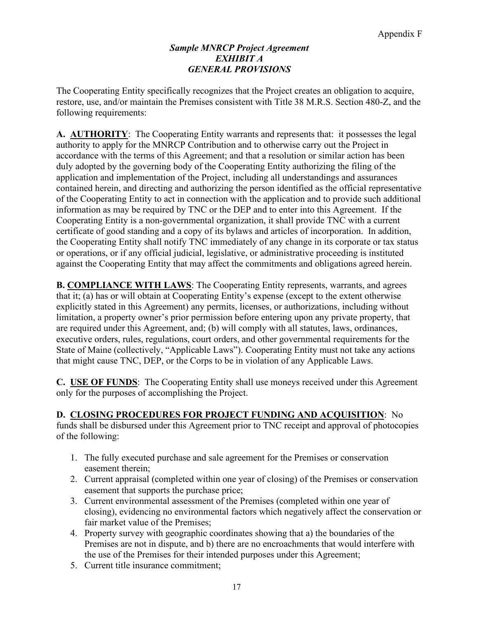#### *Sample MNRCP Project Agreement EXHIBIT A GENERAL PROVISIONS*

The Cooperating Entity specifically recognizes that the Project creates an obligation to acquire, restore, use, and/or maintain the Premises consistent with Title 38 M.R.S. Section 480-Z, and the following requirements:

**A. AUTHORITY**: The Cooperating Entity warrants and represents that: it possesses the legal authority to apply for the MNRCP Contribution and to otherwise carry out the Project in accordance with the terms of this Agreement; and that a resolution or similar action has been duly adopted by the governing body of the Cooperating Entity authorizing the filing of the application and implementation of the Project, including all understandings and assurances contained herein, and directing and authorizing the person identified as the official representative of the Cooperating Entity to act in connection with the application and to provide such additional information as may be required by TNC or the DEP and to enter into this Agreement. If the Cooperating Entity is a non-governmental organization, it shall provide TNC with a current certificate of good standing and a copy of its bylaws and articles of incorporation. In addition, the Cooperating Entity shall notify TNC immediately of any change in its corporate or tax status or operations, or if any official judicial, legislative, or administrative proceeding is instituted against the Cooperating Entity that may affect the commitments and obligations agreed herein.

**B. COMPLIANCE WITH LAWS**: The Cooperating Entity represents, warrants, and agrees that it; (a) has or will obtain at Cooperating Entity's expense (except to the extent otherwise explicitly stated in this Agreement) any permits, licenses, or authorizations, including without limitation, a property owner's prior permission before entering upon any private property, that are required under this Agreement, and; (b) will comply with all statutes, laws, ordinances, executive orders, rules, regulations, court orders, and other governmental requirements for the State of Maine (collectively, "Applicable Laws"). Cooperating Entity must not take any actions that might cause TNC, DEP, or the Corps to be in violation of any Applicable Laws.

**C. USE OF FUNDS**: The Cooperating Entity shall use moneys received under this Agreement only for the purposes of accomplishing the Project.

## **D. CLOSING PROCEDURES FOR PROJECT FUNDING AND ACQUISITION**: No

funds shall be disbursed under this Agreement prior to TNC receipt and approval of photocopies of the following:

- 1. The fully executed purchase and sale agreement for the Premises or conservation easement therein;
- 2. Current appraisal (completed within one year of closing) of the Premises or conservation easement that supports the purchase price;
- 3. Current environmental assessment of the Premises (completed within one year of closing), evidencing no environmental factors which negatively affect the conservation or fair market value of the Premises;
- 4. Property survey with geographic coordinates showing that a) the boundaries of the Premises are not in dispute, and b) there are no encroachments that would interfere with the use of the Premises for their intended purposes under this Agreement;
- 5. Current title insurance commitment;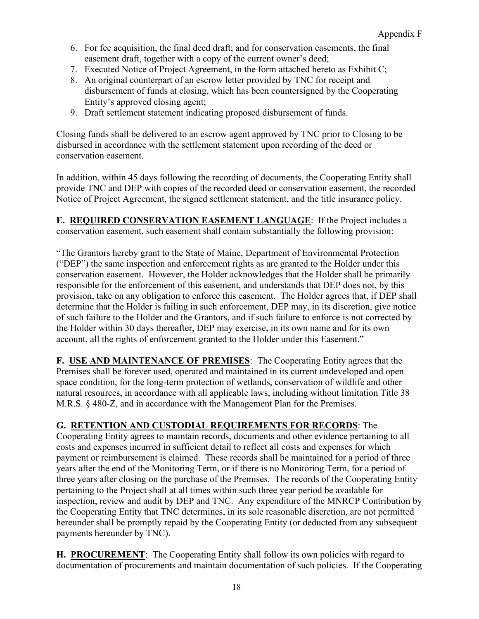- 6. For fee acquisition, the final deed draft; and for conservation easements, the final easement draft, together with a copy of the current owner's deed;
- 7. Executed Notice of Project Agreement, in the form attached hereto as Exhibit C;
- 8. An original counterpart of an escrow letter provided by TNC for receipt and disbursement of funds at closing, which has been countersigned by the Cooperating Entity's approved closing agent;
- 9. Draft settlement statement indicating proposed disbursement of funds.

Closing funds shall be delivered to an escrow agent approved by TNC prior to Closing to be disbursed in accordance with the settlement statement upon recording of the deed or conservation easement.

In addition, within 45 days following the recording of documents, the Cooperating Entity shall provide TNC and DEP with copies of the recorded deed or conservation easement, the recorded Notice of Project Agreement, the signed settlement statement, and the title insurance policy.

**E. REQUIRED CONSERVATION EASEMENT LANGUAGE**: If the Project includes a conservation easement, such easement shall contain substantially the following provision:

"The Grantors hereby grant to the State of Maine, Department of Environmental Protection ("DEP") the same inspection and enforcement rights as are granted to the Holder under this conservation easement. However, the Holder acknowledges that the Holder shall be primarily responsible for the enforcement of this easement, and understands that DEP does not, by this provision, take on any obligation to enforce this easement. The Holder agrees that, if DEP shall determine that the Holder is failing in such enforcement, DEP may, in its discretion, give notice of such failure to the Holder and the Grantors, and if such failure to enforce is not corrected by the Holder within 30 days thereafter, DEP may exercise, in its own name and for its own account, all the rights of enforcement granted to the Holder under this Easement."

**F. USE AND MAINTENANCE OF PREMISES**: The Cooperating Entity agrees that the Premises shall be forever used, operated and maintained in its current undeveloped and open space condition, for the long-term protection of wetlands, conservation of wildlife and other natural resources, in accordance with all applicable laws, including without limitation Title 38 M.R.S. § 480-Z, and in accordance with the Management Plan for the Premises.

## **G. RETENTION AND CUSTODIAL REQUIREMENTS FOR RECORDS**: The

Cooperating Entity agrees to maintain records, documents and other evidence pertaining to all costs and expenses incurred in sufficient detail to reflect all costs and expenses for which payment or reimbursement is claimed. These records shall be maintained for a period of three years after the end of the Monitoring Term, or if there is no Monitoring Term, for a period of three years after closing on the purchase of the Premises. The records of the Cooperating Entity pertaining to the Project shall at all times within such three year period be available for inspection, review and audit by DEP and TNC. Any expenditure of the MNRCP Contribution by the Cooperating Entity that TNC determines, in its sole reasonable discretion, are not permitted hereunder shall be promptly repaid by the Cooperating Entity (or deducted from any subsequent payments hereunder by TNC).

**H. PROCUREMENT**: The Cooperating Entity shall follow its own policies with regard to documentation of procurements and maintain documentation of such policies. If the Cooperating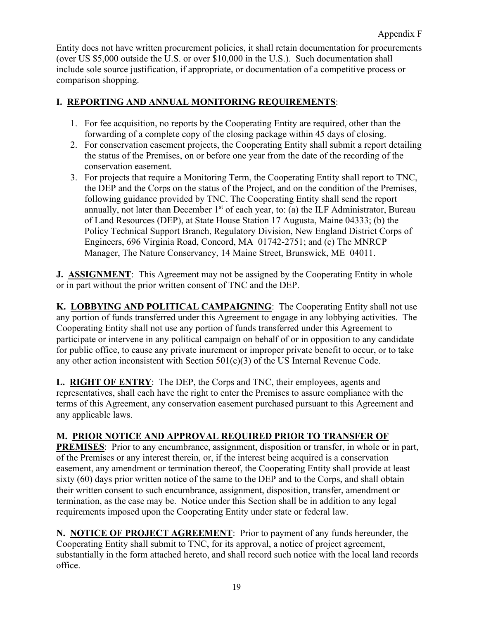Entity does not have written procurement policies, it shall retain documentation for procurements (over US \$5,000 outside the U.S. or over \$10,000 in the U.S.). Such documentation shall include sole source justification, if appropriate, or documentation of a competitive process or comparison shopping.

## **I. REPORTING AND ANNUAL MONITORING REQUIREMENTS**:

- 1. For fee acquisition, no reports by the Cooperating Entity are required, other than the forwarding of a complete copy of the closing package within 45 days of closing.
- 2. For conservation easement projects, the Cooperating Entity shall submit a report detailing the status of the Premises, on or before one year from the date of the recording of the conservation easement.
- 3. For projects that require a Monitoring Term, the Cooperating Entity shall report to TNC, the DEP and the Corps on the status of the Project, and on the condition of the Premises, following guidance provided by TNC. The Cooperating Entity shall send the report annually, not later than December  $1<sup>st</sup>$  of each year, to: (a) the ILF Administrator, Bureau of Land Resources (DEP), at State House Station 17 Augusta, Maine 04333; (b) the Policy Technical Support Branch, Regulatory Division, New England District Corps of Engineers, 696 Virginia Road, Concord, MA 01742-2751; and (c) The MNRCP Manager, The Nature Conservancy, 14 Maine Street, Brunswick, ME 04011.

**J. ASSIGNMENT:** This Agreement may not be assigned by the Cooperating Entity in whole or in part without the prior written consent of TNC and the DEP.

**K. LOBBYING AND POLITICAL CAMPAIGNING**: The Cooperating Entity shall not use any portion of funds transferred under this Agreement to engage in any lobbying activities. The Cooperating Entity shall not use any portion of funds transferred under this Agreement to participate or intervene in any political campaign on behalf of or in opposition to any candidate for public office, to cause any private inurement or improper private benefit to occur, or to take any other action inconsistent with Section 501(c)(3) of the US Internal Revenue Code.

**L. RIGHT OF ENTRY**: The DEP, the Corps and TNC, their employees, agents and representatives, shall each have the right to enter the Premises to assure compliance with the terms of this Agreement, any conservation easement purchased pursuant to this Agreement and any applicable laws.

# **M. PRIOR NOTICE AND APPROVAL REQUIRED PRIOR TO TRANSFER OF**

**PREMISES**: Prior to any encumbrance, assignment, disposition or transfer, in whole or in part, of the Premises or any interest therein, or, if the interest being acquired is a conservation easement, any amendment or termination thereof, the Cooperating Entity shall provide at least sixty (60) days prior written notice of the same to the DEP and to the Corps, and shall obtain their written consent to such encumbrance, assignment, disposition, transfer, amendment or termination, as the case may be. Notice under this Section shall be in addition to any legal requirements imposed upon the Cooperating Entity under state or federal law.

**N. NOTICE OF PROJECT AGREEMENT**:Prior to payment of any funds hereunder, the Cooperating Entity shall submit to TNC, for its approval, a notice of project agreement, substantially in the form attached hereto, and shall record such notice with the local land records office.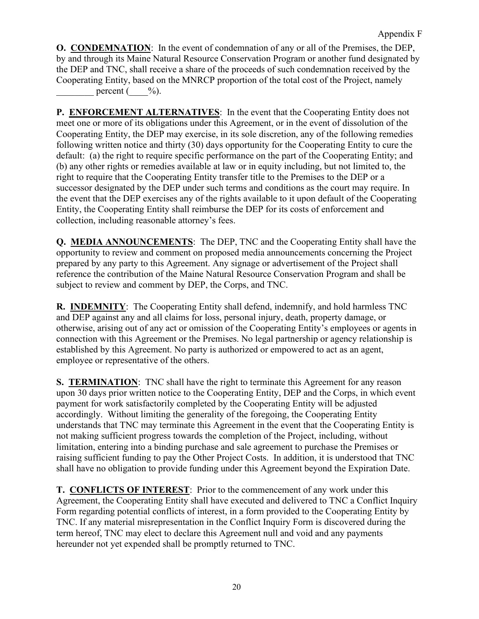**O. CONDEMNATION**: In the event of condemnation of any or all of the Premises, the DEP, by and through its Maine Natural Resource Conservation Program or another fund designated by the DEP and TNC, shall receive a share of the proceeds of such condemnation received by the Cooperating Entity, based on the MNRCP proportion of the total cost of the Project, namely percent  $(\frac{\varphi_0}{\varphi})$ .

**P. ENFORCEMENT ALTERNATIVES**: In the event that the Cooperating Entity does not meet one or more of its obligations under this Agreement, or in the event of dissolution of the Cooperating Entity, the DEP may exercise, in its sole discretion, any of the following remedies following written notice and thirty (30) days opportunity for the Cooperating Entity to cure the default: (a) the right to require specific performance on the part of the Cooperating Entity; and (b) any other rights or remedies available at law or in equity including, but not limited to, the right to require that the Cooperating Entity transfer title to the Premises to the DEP or a successor designated by the DEP under such terms and conditions as the court may require. In the event that the DEP exercises any of the rights available to it upon default of the Cooperating Entity, the Cooperating Entity shall reimburse the DEP for its costs of enforcement and collection, including reasonable attorney's fees.

**Q. MEDIA ANNOUNCEMENTS**:The DEP, TNC and the Cooperating Entity shall have the opportunity to review and comment on proposed media announcements concerning the Project prepared by any party to this Agreement. Any signage or advertisement of the Project shall reference the contribution of the Maine Natural Resource Conservation Program and shall be subject to review and comment by DEP, the Corps, and TNC.

**R. INDEMNITY**:The Cooperating Entity shall defend, indemnify, and hold harmless TNC and DEP against any and all claims for loss, personal injury, death, property damage, or otherwise, arising out of any act or omission of the Cooperating Entity's employees or agents in connection with this Agreement or the Premises. No legal partnership or agency relationship is established by this Agreement. No party is authorized or empowered to act as an agent, employee or representative of the others.

**S. TERMINATION:** TNC shall have the right to terminate this Agreement for any reason upon 30 days prior written notice to the Cooperating Entity, DEP and the Corps, in which event payment for work satisfactorily completed by the Cooperating Entity will be adjusted accordingly. Without limiting the generality of the foregoing, the Cooperating Entity understands that TNC may terminate this Agreement in the event that the Cooperating Entity is not making sufficient progress towards the completion of the Project, including, without limitation, entering into a binding purchase and sale agreement to purchase the Premises or raising sufficient funding to pay the Other Project Costs. In addition, it is understood that TNC shall have no obligation to provide funding under this Agreement beyond the Expiration Date.

**T. CONFLICTS OF INTEREST**: Prior to the commencement of any work under this Agreement, the Cooperating Entity shall have executed and delivered to TNC a Conflict Inquiry Form regarding potential conflicts of interest, in a form provided to the Cooperating Entity by TNC. If any material misrepresentation in the Conflict Inquiry Form is discovered during the term hereof, TNC may elect to declare this Agreement null and void and any payments hereunder not yet expended shall be promptly returned to TNC.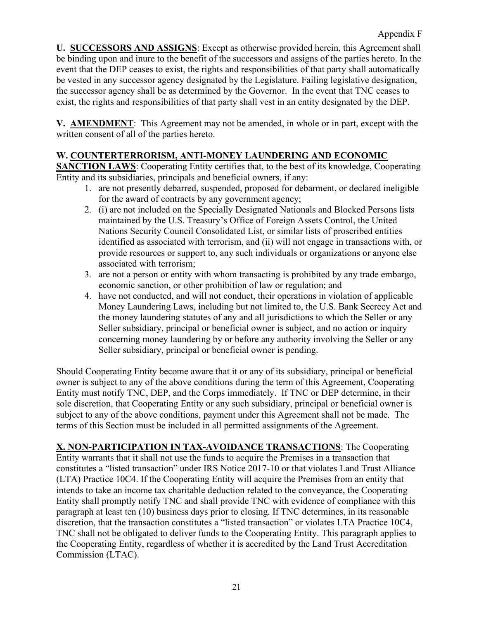**U. SUCCESSORS AND ASSIGNS**: Except as otherwise provided herein, this Agreement shall be binding upon and inure to the benefit of the successors and assigns of the parties hereto. In the event that the DEP ceases to exist, the rights and responsibilities of that party shall automatically be vested in any successor agency designated by the Legislature. Failing legislative designation, the successor agency shall be as determined by the Governor. In the event that TNC ceases to exist, the rights and responsibilities of that party shall vest in an entity designated by the DEP.

**V. AMENDMENT**: This Agreement may not be amended, in whole or in part, except with the written consent of all of the parties hereto.

## **W. COUNTERTERRORISM, ANTI-MONEY LAUNDERING AND ECONOMIC**

**SANCTION LAWS:** Cooperating Entity certifies that, to the best of its knowledge, Cooperating Entity and its subsidiaries, principals and beneficial owners, if any:

- 1. are not presently debarred, suspended, proposed for debarment, or declared ineligible for the award of contracts by any government agency;
- 2. (i) are not included on the Specially Designated Nationals and Blocked Persons lists maintained by the U.S. Treasury's Office of Foreign Assets Control, the United Nations Security Council Consolidated List, or similar lists of proscribed entities identified as associated with terrorism, and (ii) will not engage in transactions with, or provide resources or support to, any such individuals or organizations or anyone else associated with terrorism;
- 3. are not a person or entity with whom transacting is prohibited by any trade embargo, economic sanction, or other prohibition of law or regulation; and
- 4. have not conducted, and will not conduct, their operations in violation of applicable Money Laundering Laws, including but not limited to, the U.S. Bank Secrecy Act and the money laundering statutes of any and all jurisdictions to which the Seller or any Seller subsidiary, principal or beneficial owner is subject, and no action or inquiry concerning money laundering by or before any authority involving the Seller or any Seller subsidiary, principal or beneficial owner is pending.

Should Cooperating Entity become aware that it or any of its subsidiary, principal or beneficial owner is subject to any of the above conditions during the term of this Agreement, Cooperating Entity must notify TNC, DEP, and the Corps immediately. If TNC or DEP determine, in their sole discretion, that Cooperating Entity or any such subsidiary, principal or beneficial owner is subject to any of the above conditions, payment under this Agreement shall not be made. The terms of this Section must be included in all permitted assignments of the Agreement.

**X. NON-PARTICIPATION IN TAX-AVOIDANCE TRANSACTIONS**: The Cooperating Entity warrants that it shall not use the funds to acquire the Premises in a transaction that constitutes a "listed transaction" under IRS Notice 2017-10 or that violates Land Trust Alliance (LTA) Practice 10C4. If the Cooperating Entity will acquire the Premises from an entity that intends to take an income tax charitable deduction related to the conveyance, the Cooperating Entity shall promptly notify TNC and shall provide TNC with evidence of compliance with this paragraph at least ten (10) business days prior to closing. If TNC determines, in its reasonable discretion, that the transaction constitutes a "listed transaction" or violates LTA Practice 10C4, TNC shall not be obligated to deliver funds to the Cooperating Entity. This paragraph applies to the Cooperating Entity, regardless of whether it is accredited by the Land Trust Accreditation Commission (LTAC).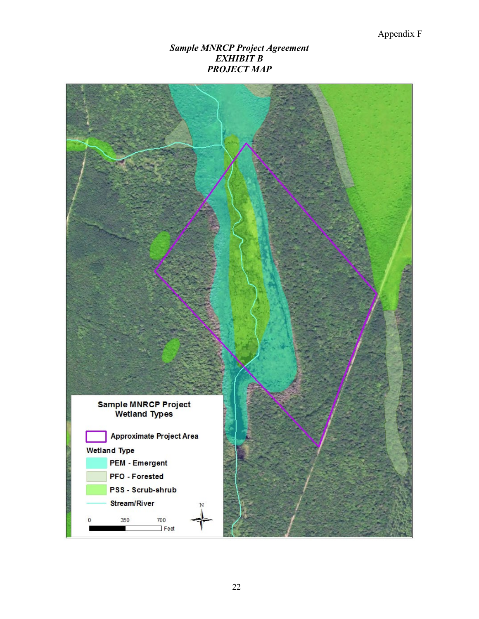#### *Sample MNRCP Project Agreement EXHIBIT B PROJECT MAP*

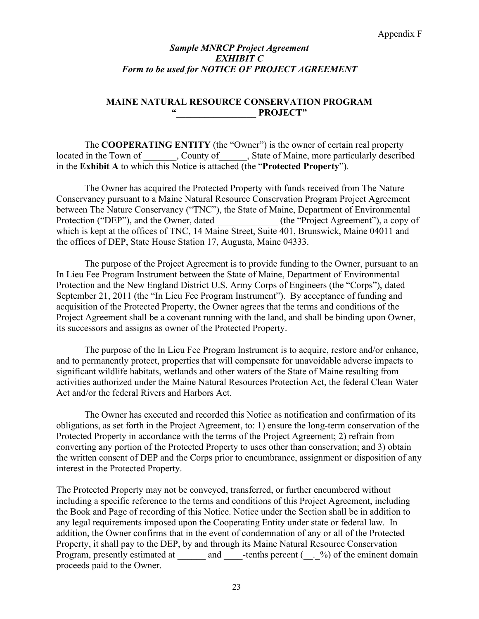#### *Sample MNRCP Project Agreement EXHIBIT C Form to be used for NOTICE OF PROJECT AGREEMENT*

#### **MAINE NATURAL RESOURCE CONSERVATION PROGRAM "\_\_\_\_\_\_\_\_\_\_\_\_\_\_\_\_\_ PROJECT"**

The **COOPERATING ENTITY** (the "Owner") is the owner of certain real property located in the Town of County of Gunty of Alaine, more particularly described in the **Exhibit A** to which this Notice is attached (the "**Protected Property**").

The Owner has acquired the Protected Property with funds received from The Nature Conservancy pursuant to a Maine Natural Resource Conservation Program Project Agreement between The Nature Conservancy ("TNC"), the State of Maine, Department of Environmental Protection ("DEP"), and the Owner, dated (the "Project Agreement"), a copy of which is kept at the offices of TNC, 14 Maine Street, Suite 401, Brunswick, Maine 04011 and the offices of DEP, State House Station 17, Augusta, Maine 04333.

The purpose of the Project Agreement is to provide funding to the Owner, pursuant to an In Lieu Fee Program Instrument between the State of Maine, Department of Environmental Protection and the New England District U.S. Army Corps of Engineers (the "Corps"), dated September 21, 2011 (the "In Lieu Fee Program Instrument"). By acceptance of funding and acquisition of the Protected Property, the Owner agrees that the terms and conditions of the Project Agreement shall be a covenant running with the land, and shall be binding upon Owner, its successors and assigns as owner of the Protected Property.

The purpose of the In Lieu Fee Program Instrument is to acquire, restore and/or enhance, and to permanently protect, properties that will compensate for unavoidable adverse impacts to significant wildlife habitats, wetlands and other waters of the State of Maine resulting from activities authorized under the Maine Natural Resources Protection Act, the federal Clean Water Act and/or the federal Rivers and Harbors Act.

The Owner has executed and recorded this Notice as notification and confirmation of its obligations, as set forth in the Project Agreement, to: 1) ensure the long-term conservation of the Protected Property in accordance with the terms of the Project Agreement; 2) refrain from converting any portion of the Protected Property to uses other than conservation; and 3) obtain the written consent of DEP and the Corps prior to encumbrance, assignment or disposition of any interest in the Protected Property.

The Protected Property may not be conveyed, transferred, or further encumbered without including a specific reference to the terms and conditions of this Project Agreement, including the Book and Page of recording of this Notice. Notice under the Section shall be in addition to any legal requirements imposed upon the Cooperating Entity under state or federal law. In addition, the Owner confirms that in the event of condemnation of any or all of the Protected Property, it shall pay to the DEP, by and through its Maine Natural Resource Conservation Program, presently estimated at \_\_\_\_\_\_ and \_\_\_\_\_-tenths percent (\_\_.\_%) of the eminent domain proceeds paid to the Owner.